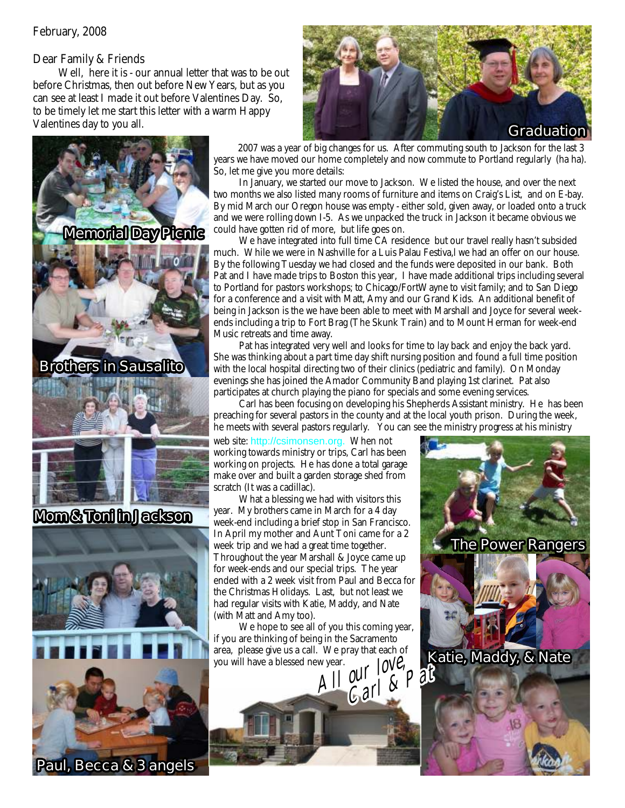## Dear Family & Friends

Well, here it is - our annual letter that was to be out before Christmas, then out before New Years, but as you can see at least I made it out before Valentines Day. So, to be timely let me start this letter with a warm Happy Valentines day to you all.







2007 was a year of big changes for us. After commuting south to Jackson for the last 3 years we have moved our home completely and now commute to Portland regularly (ha ha). So, let me give you more details:

In January, we started our move to Jackson. We listed the house, and over the next two months we also listed many rooms of furniture and items on Craig's List, and on E-bay. By mid March our Oregon house was empty - either sold, given away, or loaded onto a truck and we were rolling down I-5. As we unpacked the truck in Jackson it became obvious we could have gotten rid of more, but life goes on.

We have integrated into full time CA residence but our travel really hasn't subsided much. While we were in Nashville for a Luis Palau Festiva,l we had an offer on our house. By the following Tuesday we had closed and the funds were deposited in our bank. Both Pat and I have made trips to Boston this year, I have made additional trips including several to Portland for pastors workshops; to Chicago/FortWayne to visit family; and to San Diego for a conference and a visit with Matt, Amy and our Grand Kids. An additional benefit of being in Jackson is the we have been able to meet with Marshall and Joyce for several weekends including a trip to Fort Brag (The Skunk Train) and to Mount Herman for week-end Music retreats and time away.

Pat has integrated very well and looks for time to lay back and enjoy the back yard. She was thinking about a part time day shift nursing position and found a full time position with the local hospital directing two of their clinics (pediatric and family). On Monday evenings she has joined the Amador Community Band playing 1st clarinet. Pat also participates at church playing the piano for specials and some evening services.

Carl has been focusing on developing his Shepherds Assistant ministry. He has been preaching for several pastors in the county and at the local youth prison. During the week, he meets with several pastors regularly. You can see the ministry progress at his ministry

**The Power Rangers**

**Katie, Maddy , Maddy, & Nate**

web site: http://csimonsen.org. When not working towards ministry or trips, Carl has been working on projects. He has done a total garage make over and built a garden storage shed from scratch (It was a cadillac).

What a blessing we had with visitors this year. My brothers came in March for a 4 day week-end including a brief stop in San Francisco. In April my mother and Aunt Toni came for a 2 week trip and we had a great time together. Throughout the year Marshall & Joyce came up for week-ends and our special trips. The year ended with a 2 week visit from Paul and Becca for the Christmas Holidays. Last, but not least we had regular visits with Katie, Maddy, and Nate (with Matt and Amy too).

We hope to see all of you this coming year, if you are thinking of being in the Sacramento area, please give us a call. We pray that each of you will have a blessed new year. *Al ur <sup>l</sup> <sup>v</sup> <sup>l</sup> <sup>o</sup><sup>o</sup> e, Al <sup>o</sup> Ca l & Pat <sup>r</sup><sup>r</sup>*